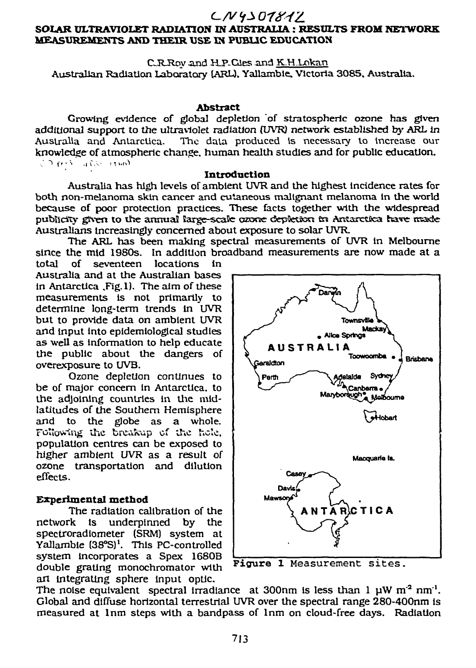# $L N 4301812$

## **SOLAR ULTRAVIOLET RADIATION IN AUSTRALIA : RESULTS FROM NETWORK MEASUREMENTS AND THEIR USE IN PUBLIC EDUCATION**

CRJRoy and HJP-Gies and K.H.Lokan Australian Radiation Laboratory lARL). Yallamble. Victoria 3085. Australia.

#### **Abstract**

Growing evidence of global depletion of stratospheric ozone has given additional support to the ultraviolet radiation (UVR) network established by ARL in<br>Australia and Antarctica. The data produced is necessary to increase our The data produced is necessary to increase our knowledge of atmospheric change, human health studies and for public education.<br> $\mathbb{C} \cap \{e^{iS} \mid \text{data} \}$ 

**Introduction** 

Australia has high levels of ambient UVR and the highest incidence rates for both non-melanoma skin cancer and cutaneous malignant melanoma In the world because of poor protection practices. These facts together with the widespread publicity given to the annual large-scale caxne depletion in Antarctica have made Australians Increasingly concerned about exposure to solar UVR.

The ARL has been making spectral measurements of UVR in Melbourne since the mid 1980s. In addition broadband measurements are now made at a total of seventeen locations in

Australia and at the Australian bases in Antarctica .Fig.l). The aim of these measurements Is not primarily to determine long-term trends in UVR but to provide data on ambient UVR and input into epidemiological studies as well as information to help educate the public about the dangers of overexposure to UVB.

Ozone depletion continues to be of major concern in Antarctica, to the adjoining countries in the midlatitudes of the Southern Hemisphere and to the globe as a whole. Following the breakup of the hole. population centres can be exposed to higher ambient UVR as a result of ozone transportation and dilution effects.

### **Experimental method**

The radiation calibration of the network is underpinned by the spectroradiometer (SRM) system at Yallambie (38°S)<sup>1</sup>. This PC-controlled system incorporates a Spex 1680B double grating monochromator with art integrating sphere input optic.



, **Figure 1** Measurement sites.

The noise equivalent spectral irradiance at 300nm is less than  $1 \mu W m^2 nm^1$ . Global and diffuse horizontal terrestrial UVR over the spectral range 280-400nm is measured at lnm steps with a bandpass of lnm on cloud-free days. Radiation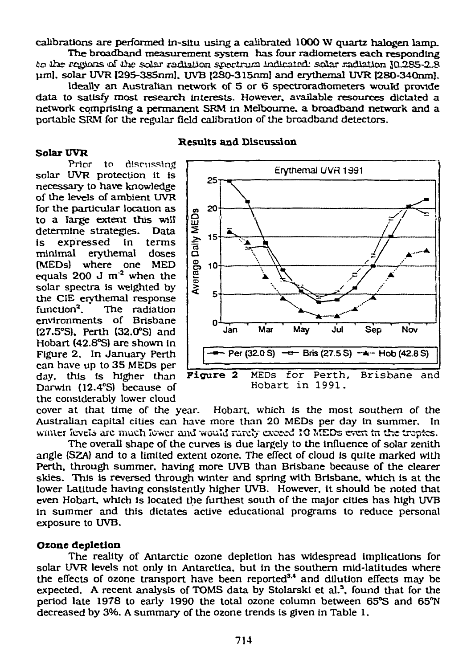calibrations are performed in-situ using a calibrated 1000 W quartz halogen lamp.

The broadband measurement system has four radiometers each responding iio iihe .regions cd" iiie solar radiation spectrum indicated: solar radiation JO-285-2^8 uml. solar UVR l295-3S5nm]. UVB l2S0-315nm] and erythemal UVR I280-340nml.

Ideally an Australian network of 5 or 6 spectroradiometers would provide data to satisfy most research interests. However, available resources dictated a network comprising a permanent SRM in Melbourne, a broadband network and a portable SRM for the regular field calibration of the broadband detectors.

#### **Solar UVR**

**Results and Discussion** 

Prior to discussing solar UVR protection it is necessary to have knowledge of the levels of ambient UVR for the particular location as to a large extent this will determine strategies. Data is expressed in terms minimal erythemal doses (MEDs) where one MED equals  $200 \text{ J m}^2$  when the solar spectra is weighted by the CIE erythemal response function $2$ . . The radiation environments of Brisbane (27.5°S). Perth (32.0°S) and Hobart (42.8°S) are shown in Figure 2. In January Perth can have up to 35 MEDs per the considerably lower cloud



cover at that time of the year. Hobart, which is the most southern of the Australian capital cities can have more than 20 MEDs per day in summer. In winter levels are much lower and would rarely exceed 10 MEDs evert *in* the tropics.

The overall shape of the curves is due largely to the influence of solar zenith angle (S2A) and to a limited extent ozone. The effect of cloud is quite marked with Perth, through summer, having more UVB than Brisbane because of the clearer skies. This is reversed through winter and spring with Brisbane, which is at the lower Latitude having consistently higher UVB. However, it should be noted that even Hobart, which is located the furthest south of the major cities has high UVB in summer and this dictates active educational programs to reduce personal exposure to UVB.

### **Ozone depletion**

The reality of Antarctic ozone depletion has widespread implications for solar UVR levels not only in Antarctica, but in the southern mid-latitudes where the effects of ozone transport have been reported<sup>3,4</sup> and dilution effects may be expected. A recent analysis of TOMS data by Stolarski et al.<sup>5</sup>, found that for the period late 1978 to early 1990 the total ozone column between 65°S and 65°N decreased by 3%. A summary of the ozone trends is given in Table 1.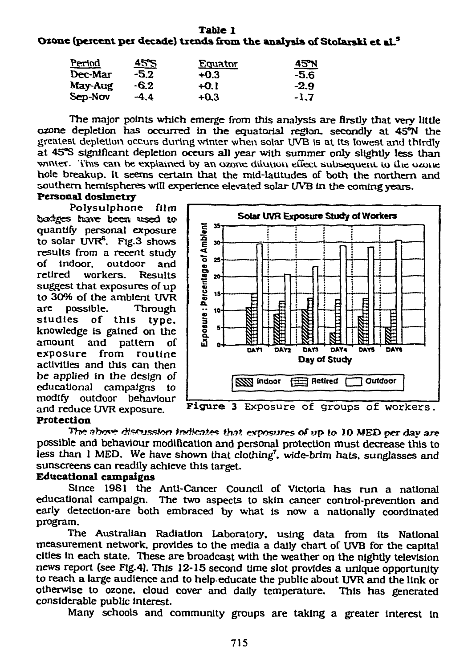| Period<br>Dec-Mar<br>May-Aug<br>Sep-Nov | <u>45°S</u><br>-5.2<br>-6.2 | <u>Equator</u><br>$+0.3$<br>$+0.1$ | <u>45N</u><br>-5.6<br>$-2.9$ |        |        |        |
|-----------------------------------------|-----------------------------|------------------------------------|------------------------------|--------|--------|--------|
|                                         |                             |                                    |                              | $-4.4$ | $+0.3$ | $-1.7$ |

The major points which emerge from this analysis are firstly that very little ozone depletion has occurred in the equatorial region, secondly at 45°N the greatest depletion occurs during winter when solar UVB is at its lowest and thirdly at 45°S significant depletion occurs all year with summer only slightly less than winter. This can be explained by an ozone dilution effect subsequent to the ozone hole breakup. It seems certain that the mid-latitudes of both the northern and southern hemispheres will experience elevated solar *UVB* in the coming years.

### **Personal dosimetry**

Polysulphone film badges have been used to quantify personal exposure to solar  $UVR<sup>6</sup>$ . Fig.3 shows results from a recent study of indoor, outdoor and retired workers. Results suggest that exposures of up to 30% of the ambient UVR are possible. Through studies of this type. knowledge is gained on the amount and pattern of exposure from routine activities and this can then be applied in the design *of*  educational campaigns to modify outdoor behaviour<br>and reduce UVR exposure.



Figure 3 Exposure of groups of workers.

### **Protection**

Th»\* abow dfsmsstor? *indtenttt that,* evpoiswws *of* up *to* lO MED per day are possible and behaviour modification and personal protection must decrease this to less than 1 MED. We have shown that clothing<sup>7</sup>, wide-brim hats, sunglasses and sunscreens can readily achieve this target.

## **Educational campaigns**

Since 1981 the Anti-Cancer Council of Victoria has run a national educational campaign. The two aspects to skin cancer control-prevention and early detection-are both embraced by what is now a nationally coordinated program.

The Australian Radiation Laboratory, using data from its National measurement network, provides to the media a daily chart of UVB for the capital cities in each state. These are broadcast with the weather on the nightly television news report (see Flg.4). This 12-15 second time slot provides **a** unique opportunity to reach **a** large audience and to help educate the public about UVR and the link or otherwise to ozone, cloud cover and daily temperature. This has generated considerable public Interest.

Many schools and community groups are taking a greater interest in